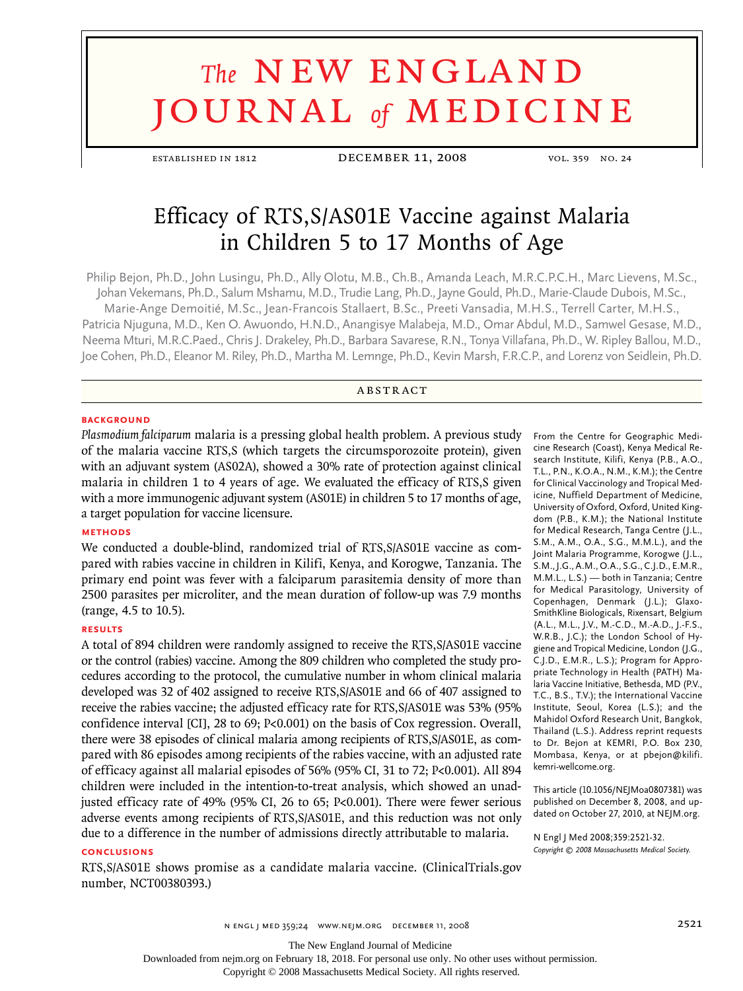# **The NEW ENGLAND** journal *of* medicine

ESTABLISHED IN 1812 **DECEMBER 11, 2008** vol. 359 no. 24

# Efficacy of RTS,S/AS01E Vaccine against Malaria in Children 5 to 17 Months of Age

Philip Bejon, Ph.D., John Lusingu, Ph.D., Ally Olotu, M.B., Ch.B., Amanda Leach, M.R.C.P.C.H., Marc Lievens, M.Sc., Johan Vekemans, Ph.D., Salum Mshamu, M.D., Trudie Lang, Ph.D., Jayne Gould, Ph.D., Marie-Claude Dubois, M.Sc., Marie-Ange Demoitié, M.Sc., Jean-Francois Stallaert, B.Sc., Preeti Vansadia, M.H.S., Terrell Carter, M.H.S., Patricia Njuguna, M.D., Ken O. Awuondo, H.N.D., Anangisye Malabeja, M.D., Omar Abdul, M.D., Samwel Gesase, M.D., Neema Mturi, M.R.C.Paed., Chris J. Drakeley, Ph.D., Barbara Savarese, R.N., Tonya Villafana, Ph.D., W. Ripley Ballou, M.D., Joe Cohen, Ph.D., Eleanor M. Riley, Ph.D., Martha M. Lemnge, Ph.D., Kevin Marsh, F.R.C.P., and Lorenz von Seidlein, Ph.D.

# **ABSTRACT**

#### **BACKGROUND**

*Plasmodium falciparum* malaria is a pressing global health problem. A previous study of the malaria vaccine RTS,S (which targets the circumsporozoite protein), given with an adjuvant system (AS02A), showed a 30% rate of protection against clinical malaria in children 1 to 4 years of age. We evaluated the efficacy of RTS,S given with a more immunogenic adjuvant system (AS01E) in children 5 to 17 months of age, a target population for vaccine licensure.

# **Methods**

We conducted a double-blind, randomized trial of RTS,S/AS01E vaccine as compared with rabies vaccine in children in Kilifi, Kenya, and Korogwe, Tanzania. The primary end point was fever with a falciparum parasitemia density of more than 2500 parasites per microliter, and the mean duration of follow-up was 7.9 months (range, 4.5 to 10.5).

#### **Results**

A total of 894 children were randomly assigned to receive the RTS,S/AS01E vaccine or the control (rabies) vaccine. Among the 809 children who completed the study procedures according to the protocol, the cumulative number in whom clinical malaria developed was 32 of 402 assigned to receive RTS,S/AS01E and 66 of 407 assigned to receive the rabies vaccine; the adjusted efficacy rate for RTS,S/AS01E was 53% (95% confidence interval [CI], 28 to 69;  $P<0.001$  on the basis of Cox regression. Overall, there were 38 episodes of clinical malaria among recipients of RTS,S/AS01E, as compared with 86 episodes among recipients of the rabies vaccine, with an adjusted rate of efficacy against all malarial episodes of 56% (95% CI, 31 to 72; P<0.001). All 894 children were included in the intention-to-treat analysis, which showed an unadjusted efficacy rate of 49% (95% CI, 26 to 65; P<0.001). There were fewer serious adverse events among recipients of RTS,S/AS01E, and this reduction was not only due to a difference in the number of admissions directly attributable to malaria.

#### **Conclusions**

RTS,S/AS01E shows promise as a candidate malaria vaccine. (ClinicalTrials.gov number, NCT00380393.)

From the Centre for Geographic Medicine Research (Coast), Kenya Medical Research Institute, Kilifi, Kenya (P.B., A.O., T.L., P.N., K.O.A., N.M., K.M.); the Centre for Clinical Vaccinology and Tropical Medicine, Nuffield Department of Medicine, University of Oxford, Oxford, United Kingdom (P.B., K.M.); the National Institute for Medical Research, Tanga Centre (J.L., S.M., A.M., O.A., S.G., M.M.L.), and the Joint Malaria Programme, Korogwe (J.L., S.M., J.G., A.M., O.A., S.G., C.J.D., E.M.R., M.M.L., L.S.) — both in Tanzania; Centre for Medical Parasitology, University of Copenhagen, Denmark (J.L.); Glaxo-SmithKline Biologicals, Rixensart, Belgium (A.L., M.L., J.V., M.-C.D., M.-A.D., J.-F.S., W.R.B., J.C.); the London School of Hygiene and Tropical Medicine, London (J.G., C.J.D., E.M.R., L.S.); Program for Appropriate Technology in Health (PATH) Malaria Vaccine Initiative, Bethesda, MD (P.V., T.C., B.S., T.V.); the International Vaccine Institute, Seoul, Korea (L.S.); and the Mahidol Oxford Research Unit, Bangkok, Thailand (L.S.). Address reprint requests to Dr. Bejon at KEMRI, P.O. Box 230, Mombasa, Kenya, or at pbejon@kilifi. kemri-wellcome.org.

This article (10.1056/NEJMoa0807381) was published on December 8, 2008, and updated on October 27, 2010, at NEJM.org.

N Engl J Med 2008;359:2521-32. *Copyright © 2008 Massachusetts Medical Society.*

n engl j med 359;24 www.nejm.org december 11, 2008 2521

The New England Journal of Medicine

Downloaded from nejm.org on February 18, 2018. For personal use only. No other uses without permission.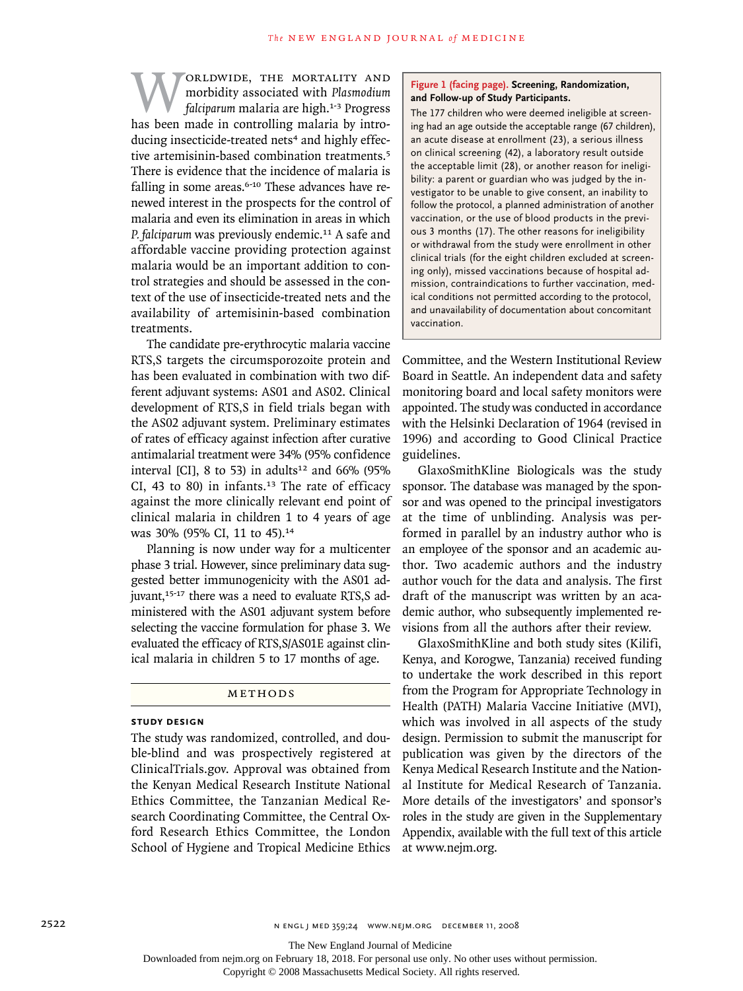WORLDWIDE, THE MORTALITY AND morbidity associated with *Plasmodium* falciparum malaria are high.<sup>1-3</sup> Progress has been made in controlling malaria by intromorbidity associated with *Plasmodium falciparum* malaria are high.<sup>1-3</sup> Progress ducing insecticide-treated nets<sup>4</sup> and highly effective artemisinin-based combination treatments.<sup>5</sup> There is evidence that the incidence of malaria is falling in some areas.<sup>6-10</sup> These advances have renewed interest in the prospects for the control of malaria and even its elimination in areas in which *P. falciparum* was previously endemic.<sup>11</sup> A safe and affordable vaccine providing protection against malaria would be an important addition to control strategies and should be assessed in the context of the use of insecticide-treated nets and the availability of artemisinin-based combination treatments.

The candidate pre-erythrocytic malaria vaccine RTS,S targets the circumsporozoite protein and has been evaluated in combination with two different adjuvant systems: AS01 and AS02. Clinical development of RTS,S in field trials began with the AS02 adjuvant system. Preliminary estimates of rates of efficacy against infection after curative antimalarial treatment were 34% (95% confidence interval [CI], 8 to 53) in adults<sup>12</sup> and 66% (95% CI, 43 to 80) in infants. $13$  The rate of efficacy against the more clinically relevant end point of clinical malaria in children 1 to 4 years of age was 30% (95% CI, 11 to 45).<sup>14</sup>

Planning is now under way for a multicenter phase 3 trial. However, since preliminary data suggested better immunogenicity with the AS01 adjuvant,<sup>15-17</sup> there was a need to evaluate RTS,S administered with the AS01 adjuvant system before selecting the vaccine formulation for phase 3. We evaluated the efficacy of RTS,S/AS01E against clinical malaria in children 5 to 17 months of age.

#### METHODS

#### **Study Design**

The study was randomized, controlled, and double-blind and was prospectively registered at ClinicalTrials.gov. Approval was obtained from the Kenyan Medical Research Institute National Ethics Committee, the Tanzanian Medical Research Coordinating Committee, the Central Oxford Research Ethics Committee, the London School of Hygiene and Tropical Medicine Ethics

#### **Figure 1 (facing page). Screening, Randomization, and Follow-up of Study Participants.**

The 177 children who were deemed ineligible at screening had an age outside the acceptable range (67 children), an acute disease at enrollment (23), a serious illness on clinical screening (42), a laboratory result outside the acceptable limit (28), or another reason for ineligibility: a parent or guardian who was judged by the investigator to be unable to give consent, an inability to follow the protocol, a planned administration of another vaccination, or the use of blood products in the previous 3 months (17). The other reasons for ineligibility or withdrawal from the study were enrollment in other clinical trials (for the eight children excluded at screening only), missed vaccinations because of hospital admission, contraindications to further vaccination, medical conditions not permitted according to the protocol, and unavailability of documentation about concomitant vaccination.

Committee, and the Western Institutional Review Board in Seattle. An independent data and safety monitoring board and local safety monitors were appointed. The study was conducted in accordance with the Helsinki Declaration of 1964 (revised in 1996) and according to Good Clinical Practice guidelines.

GlaxoSmithKline Biologicals was the study sponsor. The database was managed by the sponsor and was opened to the principal investigators at the time of unblinding. Analysis was performed in parallel by an industry author who is an employee of the sponsor and an academic author. Two academic authors and the industry author vouch for the data and analysis. The first draft of the manuscript was written by an academic author, who subsequently implemented revisions from all the authors after their review.

GlaxoSmithKline and both study sites (Kilifi, Kenya, and Korogwe, Tanzania) received funding to undertake the work described in this report from the Program for Appropriate Technology in Health (PATH) Malaria Vaccine Initiative (MVI), which was involved in all aspects of the study design. Permission to submit the manuscript for publication was given by the directors of the Kenya Medical Research Institute and the National Institute for Medical Research of Tanzania. More details of the investigators' and sponsor's roles in the study are given in the Supplementary Appendix, available with the full text of this article at www.nejm.org.

The New England Journal of Medicine

Downloaded from nejm.org on February 18, 2018. For personal use only. No other uses without permission.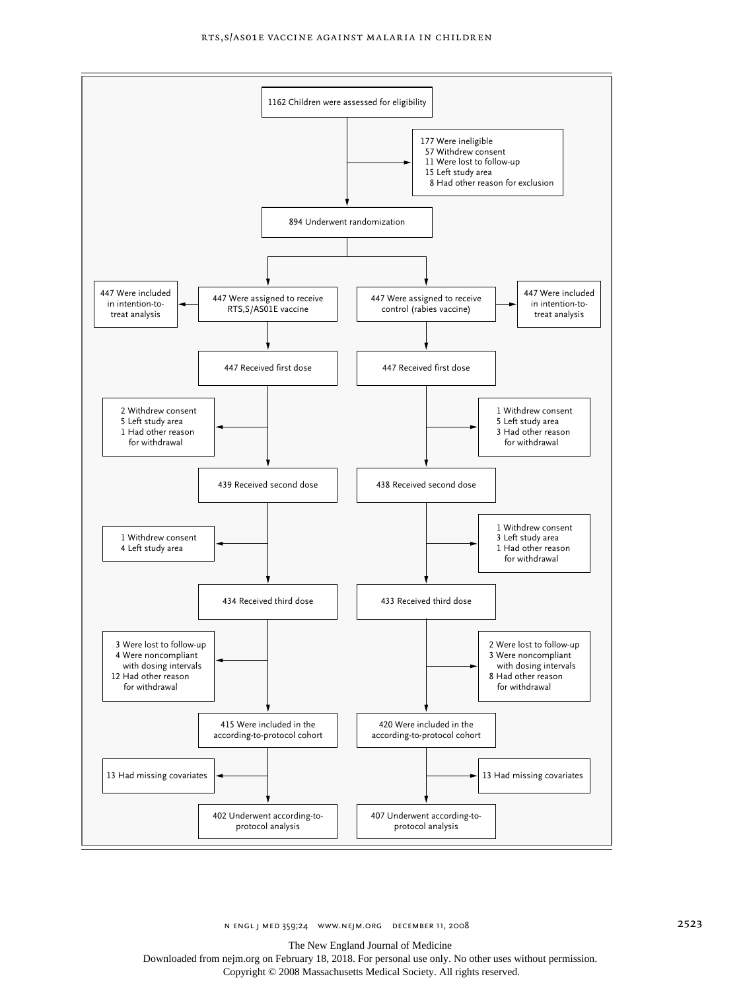#### RTS,S/AS01E Vaccine against Malaria in Children



The New England Journal of Medicine

Downloaded from nejm.org on February 18, 2018. For personal use only. No other uses without permission.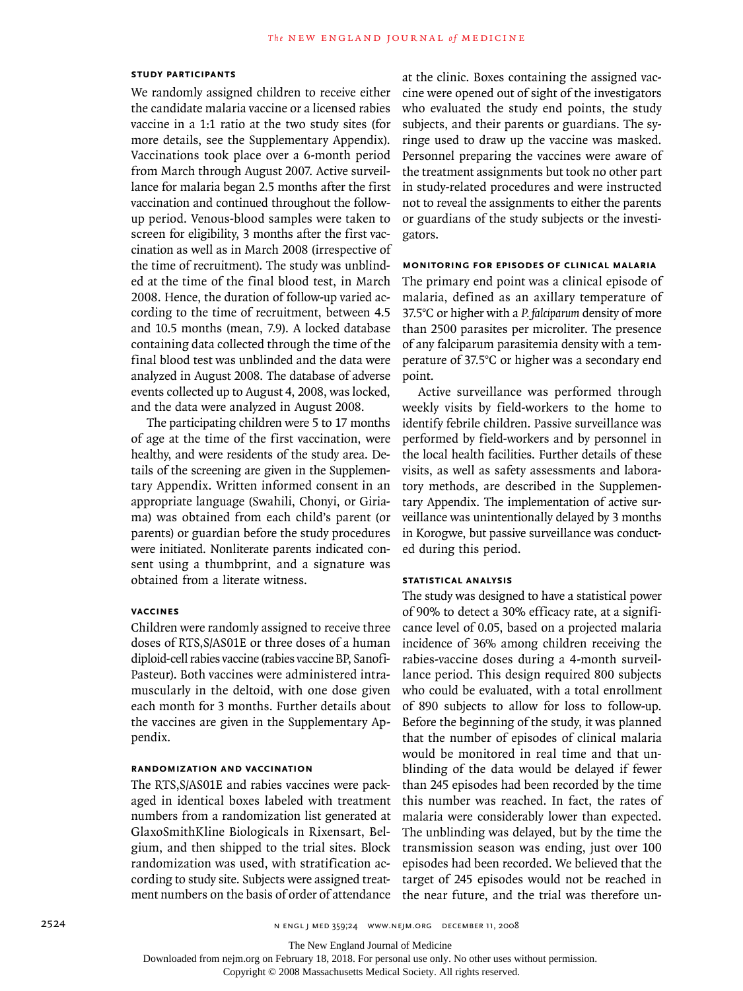#### **Study Participants**

We randomly assigned children to receive either the candidate malaria vaccine or a licensed rabies vaccine in a 1:1 ratio at the two study sites (for more details, see the Supplementary Appendix). Vaccinations took place over a 6-month period from March through August 2007. Active surveillance for malaria began 2.5 months after the first vaccination and continued throughout the followup period. Venous-blood samples were taken to screen for eligibility, 3 months after the first vaccination as well as in March 2008 (irrespective of the time of recruitment). The study was unblinded at the time of the final blood test, in March 2008. Hence, the duration of follow-up varied according to the time of recruitment, between 4.5 and 10.5 months (mean, 7.9). A locked database containing data collected through the time of the final blood test was unblinded and the data were analyzed in August 2008. The database of adverse events collected up to August 4, 2008, was locked, and the data were analyzed in August 2008.

The participating children were 5 to 17 months of age at the time of the first vaccination, were healthy, and were residents of the study area. Details of the screening are given in the Supplementary Appendix. Written informed consent in an appropriate language (Swahili, Chonyi, or Giriama) was obtained from each child's parent (or parents) or guardian before the study procedures were initiated. Nonliterate parents indicated consent using a thumbprint, and a signature was obtained from a literate witness.

#### **Vaccines**

Children were randomly assigned to receive three doses of RTS,S/AS01E or three doses of a human diploid-cell rabies vaccine (rabies vaccine BP, Sanofi-Pasteur). Both vaccines were administered intramuscularly in the deltoid, with one dose given each month for 3 months. Further details about the vaccines are given in the Supplementary Appendix.

#### **Randomization and Vaccination**

The RTS,S/AS01E and rabies vaccines were packaged in identical boxes labeled with treatment numbers from a randomization list generated at GlaxoSmithKline Biologicals in Rixensart, Belgium, and then shipped to the trial sites. Block randomization was used, with stratification according to study site. Subjects were assigned treatment numbers on the basis of order of attendance

at the clinic. Boxes containing the assigned vaccine were opened out of sight of the investigators who evaluated the study end points, the study subjects, and their parents or guardians. The syringe used to draw up the vaccine was masked. Personnel preparing the vaccines were aware of the treatment assignments but took no other part in study-related procedures and were instructed not to reveal the assignments to either the parents or guardians of the study subjects or the investigators.

### **Monitoring for Episodes of Clinical Malaria**

The primary end point was a clinical episode of malaria, defined as an axillary temperature of 37.5°C or higher with a *P. falciparum* density of more than 2500 parasites per microliter. The presence of any falciparum parasitemia density with a temperature of 37.5°C or higher was a secondary end point.

Active surveillance was performed through weekly visits by field-workers to the home to identify febrile children. Passive surveillance was performed by field-workers and by personnel in the local health facilities. Further details of these visits, as well as safety assessments and laboratory methods, are described in the Supplementary Appendix. The implementation of active surveillance was unintentionally delayed by 3 months in Korogwe, but passive surveillance was conducted during this period.

### **Statistical Analysis**

The study was designed to have a statistical power of 90% to detect a 30% efficacy rate, at a significance level of 0.05, based on a projected malaria incidence of 36% among children receiving the rabies-vaccine doses during a 4-month surveillance period. This design required 800 subjects who could be evaluated, with a total enrollment of 890 subjects to allow for loss to follow-up. Before the beginning of the study, it was planned that the number of episodes of clinical malaria would be monitored in real time and that unblinding of the data would be delayed if fewer than 245 episodes had been recorded by the time this number was reached. In fact, the rates of malaria were considerably lower than expected. The unblinding was delayed, but by the time the transmission season was ending, just over 100 episodes had been recorded. We believed that the target of 245 episodes would not be reached in the near future, and the trial was therefore un-

Downloaded from nejm.org on February 18, 2018. For personal use only. No other uses without permission.

The New England Journal of Medicine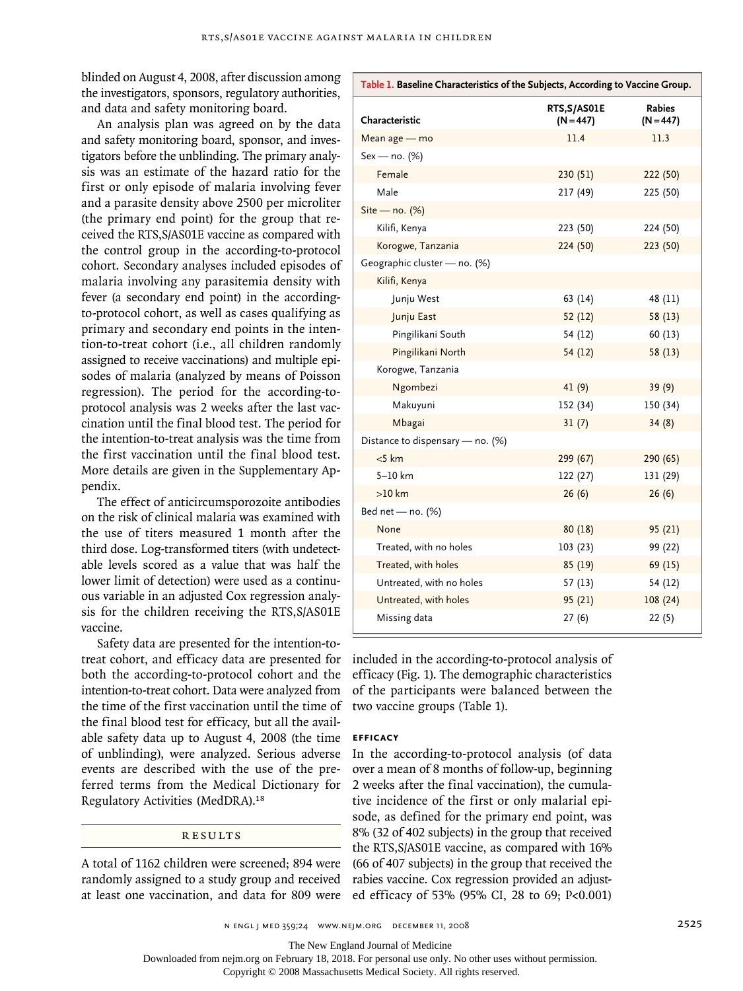blinded on August 4, 2008, after discussion among the investigators, sponsors, regulatory authorities, and data and safety monitoring board.

An analysis plan was agreed on by the data and safety monitoring board, sponsor, and investigators before the unblinding. The primary analysis was an estimate of the hazard ratio for the first or only episode of malaria involving fever and a parasite density above 2500 per microliter (the primary end point) for the group that received the RTS,S/AS01E vaccine as compared with the control group in the according-to-protocol cohort. Secondary analyses included episodes of malaria involving any parasitemia density with fever (a secondary end point) in the accordingto-protocol cohort, as well as cases qualifying as primary and secondary end points in the intention-to-treat cohort (i.e., all children randomly assigned to receive vaccinations) and multiple episodes of malaria (analyzed by means of Poisson regression). The period for the according-toprotocol analysis was 2 weeks after the last vaccination until the final blood test. The period for the intention-to-treat analysis was the time from the first vaccination until the final blood test. More details are given in the Supplementary Appendix.

The effect of anticircumsporozoite antibodies on the risk of clinical malaria was examined with the use of titers measured 1 month after the third dose. Log-transformed titers (with undetectable levels scored as a value that was half the lower limit of detection) were used as a continuous variable in an adjusted Cox regression analysis for the children receiving the RTS,S/AS01E vaccine.

Safety data are presented for the intention-totreat cohort, and efficacy data are presented for both the according-to-protocol cohort and the intention-to-treat cohort. Data were analyzed from the time of the first vaccination until the time of two vaccine groups (Table 1). the final blood test for efficacy, but all the available safety data up to August 4, 2008 (the time of unblinding), were analyzed. Serious adverse events are described with the use of the preferred terms from the Medical Dictionary for Regulatory Activities (MedDRA).<sup>18</sup>

# R esult s

A total of 1162 children were screened; 894 were randomly assigned to a study group and received at least one vaccination, and data for 809 were

| Table 1. Baseline Characteristics of the Subjects, According to Vaccine Group. |                             |                              |  |  |  |
|--------------------------------------------------------------------------------|-----------------------------|------------------------------|--|--|--|
| Characteristic                                                                 | RTS, S/AS01E<br>$(N = 447)$ | <b>Rabies</b><br>$(N = 447)$ |  |  |  |
| Mean age - mo                                                                  | 11.4                        | 11.3                         |  |  |  |
| $Sex - no.$ (%)                                                                |                             |                              |  |  |  |
| Female                                                                         | 230 (51)                    | 222 (50)                     |  |  |  |
| Male                                                                           | 217 (49)                    | 225 (50)                     |  |  |  |
| Site - no. (%)                                                                 |                             |                              |  |  |  |
| Kilifi, Kenya                                                                  | 223 (50)                    | 224 (50)                     |  |  |  |
| Korogwe, Tanzania                                                              | 224 (50)                    | 223 (50)                     |  |  |  |
| Geographic cluster - no. (%)                                                   |                             |                              |  |  |  |
| Kilifi, Kenya                                                                  |                             |                              |  |  |  |
| Junju West                                                                     | 63 (14)                     | 48 (11)                      |  |  |  |
| Junju East                                                                     | 52(12)                      | 58(13)                       |  |  |  |
| Pingilikani South                                                              | 54 (12)                     | 60 (13)                      |  |  |  |
| Pingilikani North                                                              | 54 (12)                     | 58 (13)                      |  |  |  |
| Korogwe, Tanzania                                                              |                             |                              |  |  |  |
| Ngombezi                                                                       | 41(9)                       | 39(9)                        |  |  |  |
| Makuyuni                                                                       | 152 (34)                    | 150 (34)                     |  |  |  |
| Mbagai                                                                         | 31(7)                       | 34(8)                        |  |  |  |
| Distance to dispensary - no. (%)                                               |                             |                              |  |  |  |
| < 5 km                                                                         | 299 (67)                    | 290 (65)                     |  |  |  |
| 5-10 km                                                                        | 122 (27)                    | 131 (29)                     |  |  |  |
| $>10$ km                                                                       | 26(6)                       | 26(6)                        |  |  |  |
| Bed net - no. $(%)$                                                            |                             |                              |  |  |  |
| None                                                                           | 80(18)                      | 95(21)                       |  |  |  |
| Treated, with no holes                                                         | 103(23)                     | 99 (22)                      |  |  |  |
| Treated, with holes                                                            | 85 (19)                     | 69 (15)                      |  |  |  |
| Untreated, with no holes                                                       | 57 (13)                     | 54 (12)                      |  |  |  |
| Untreated, with holes                                                          | 95(21)                      | 108(24)                      |  |  |  |
| Missing data                                                                   | 27(6)                       | 22 (5)                       |  |  |  |

included in the according-to-protocol analysis of efficacy (Fig. 1). The demographic characteristics of the participants were balanced between the

#### **Efficacy**

In the according-to-protocol analysis (of data over a mean of 8 months of follow-up, beginning 2 weeks after the final vaccination), the cumulative incidence of the first or only malarial episode, as defined for the primary end point, was 8% (32 of 402 subjects) in the group that received the RTS,S/AS01E vaccine, as compared with 16% (66 of 407 subjects) in the group that received the rabies vaccine. Cox regression provided an adjusted efficacy of 53% (95% CI, 28 to 69; P<0.001)

The New England Journal of Medicine

Downloaded from nejm.org on February 18, 2018. For personal use only. No other uses without permission.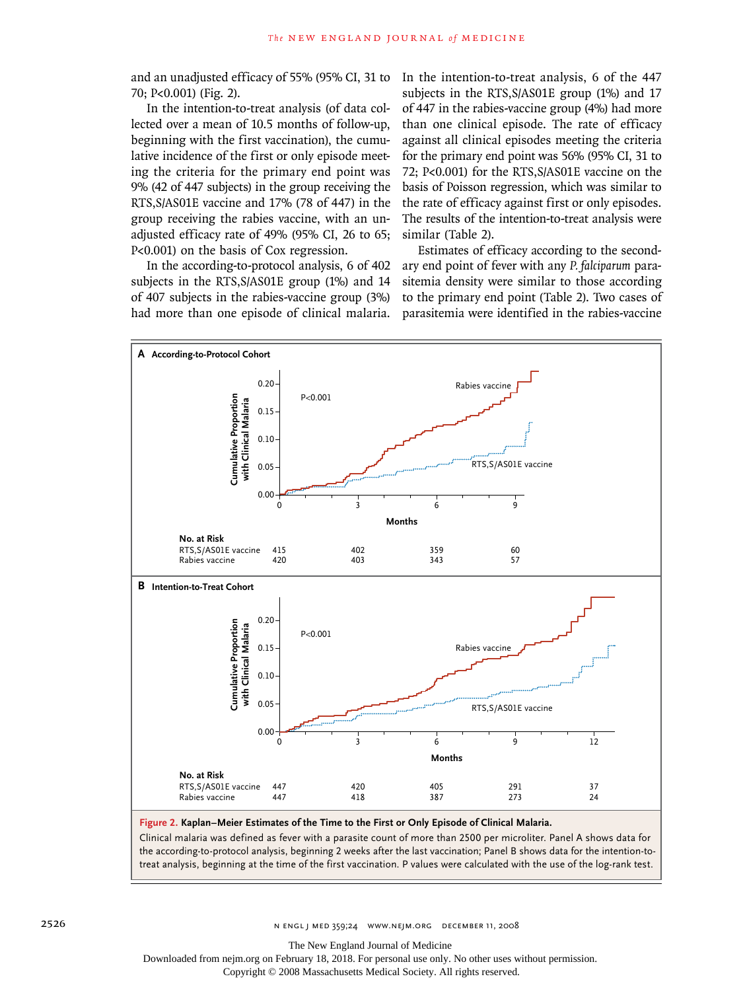and an unadjusted efficacy of 55% (95% CI, 31 to In the intention-to-treat analysis, 6 of the 447 70; P<0.001) (Fig. 2).

In the intention-to-treat analysis (of data collected over a mean of 10.5 months of follow-up, beginning with the first vaccination), the cumulative incidence of the first or only episode meeting the criteria for the primary end point was 9% (42 of 447 subjects) in the group receiving the RTS,S/AS01E vaccine and 17% (78 of 447) in the group receiving the rabies vaccine, with an unadjusted efficacy rate of 49% (95% CI, 26 to 65; P<0.001) on the basis of Cox regression.

In the according-to-protocol analysis, 6 of 402 subjects in the RTS,S/AS01E group (1%) and 14 of 407 subjects in the rabies-vaccine group (3%) had more than one episode of clinical malaria.

subjects in the RTS, S/AS01E group (1%) and 17 of 447 in the rabies-vaccine group (4%) had more than one clinical episode. The rate of efficacy against all clinical episodes meeting the criteria for the primary end point was 56% (95% CI, 31 to 72; P<0.001) for the RTS,S/AS01E vaccine on the basis of Poisson regression, which was similar to the rate of efficacy against first or only episodes. The results of the intention-to-treat analysis were similar (Table 2).

Estimates of efficacy according to the secondary end point of fever with any *P. falciparum* parasitemia density were similar to those according to the primary end point (Table 2). Two cases of parasitemia were identified in the rabies-vaccine



**Figure 2. Kaplan–Meier Estimates of the Time to the First or Only Episode of Clinical Malaria.** 

Authority of the Constitution

Clinical malaria was defined as fever with a parasite count of more than 2500 per microliter. Panel A shows data for the according-to-protocol analysis, beginning 2 weeks after the last vaccination; Panel B shows data for the intention-totreat analysis, beginning at the time of the first vaccination. P values were calculated with the use of the log-rank test.

RETAKE

1st

Downloaded from nejm.org on February 18, 2018. For personal use only. No other uses without permission.

Bejon<br>Bejon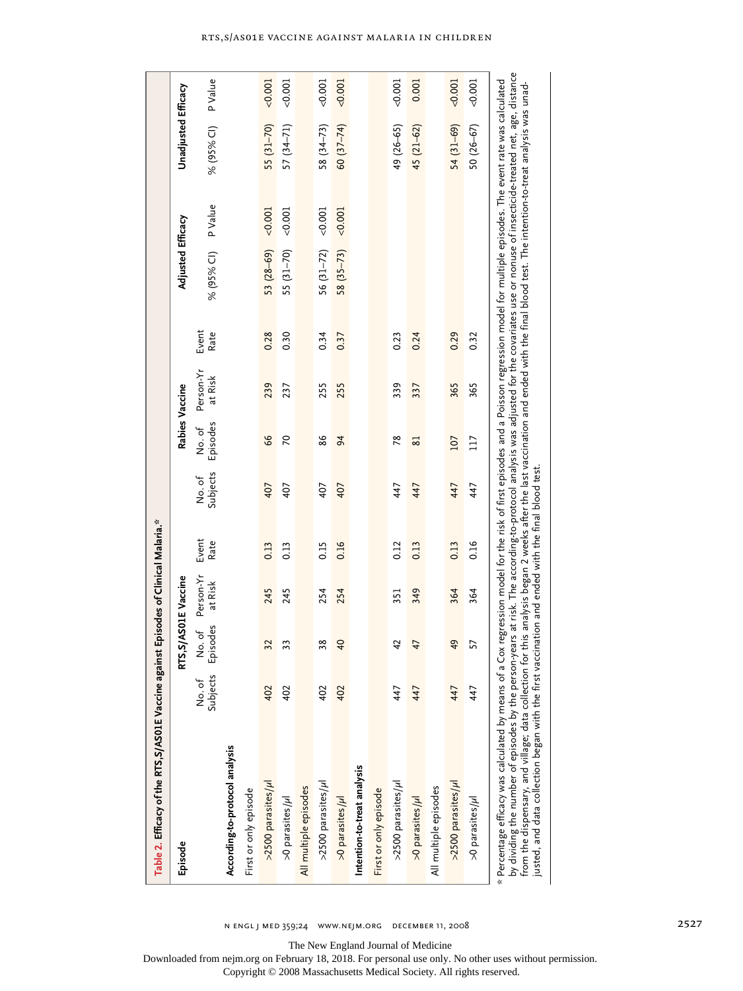| Table 2. Efficacy of the RTS, S/ASO1E Vaccine against Episodes of Clinical Malaria.*                                                                                                                                                                                                                                                                                                                                                                                                                                                                    |                   |                      |                      |               |                   |                    |                      |               |                   |                |                                                                                                                                        |                |
|---------------------------------------------------------------------------------------------------------------------------------------------------------------------------------------------------------------------------------------------------------------------------------------------------------------------------------------------------------------------------------------------------------------------------------------------------------------------------------------------------------------------------------------------------------|-------------------|----------------------|----------------------|---------------|-------------------|--------------------|----------------------|---------------|-------------------|----------------|----------------------------------------------------------------------------------------------------------------------------------------|----------------|
| Episode                                                                                                                                                                                                                                                                                                                                                                                                                                                                                                                                                 |                   | RTS, S/ASOIE Vaccine |                      |               |                   | Rabies Vaccine     |                      |               | Adjusted Efficacy |                | Unadjusted Efficacy                                                                                                                    |                |
|                                                                                                                                                                                                                                                                                                                                                                                                                                                                                                                                                         | Subjects<br>No.of | Episodes<br>No. of   | Person-Yr<br>at Risk | Event<br>Rate | Subjects<br>No.of | Episodes<br>No. of | Person-Yr<br>at Risk | Event<br>Rate | % (95% CI)        | <b>P</b> Value | % (95% CI)                                                                                                                             | <b>P</b> Value |
| According-to-protocol analysis                                                                                                                                                                                                                                                                                                                                                                                                                                                                                                                          |                   |                      |                      |               |                   |                    |                      |               |                   |                |                                                                                                                                        |                |
| First or only episode                                                                                                                                                                                                                                                                                                                                                                                                                                                                                                                                   |                   |                      |                      |               |                   |                    |                      |               |                   |                |                                                                                                                                        |                |
| >2500 parasites/µl                                                                                                                                                                                                                                                                                                                                                                                                                                                                                                                                      | 402               | 32                   | 245                  | 0.13          | 407               | 66                 | 239                  | 0.28          | 53 (28-69)        | < 0.001        | 55 (31-70)                                                                                                                             | < 0.001        |
| >0 parasites/µ                                                                                                                                                                                                                                                                                                                                                                                                                                                                                                                                          | 402               | 33                   | 245                  | 0.13          | 407               | 20                 | 237                  | 0.30          | $55(31-70)$       | 0.001          | $57(34-71)$                                                                                                                            | 0.001          |
| All multiple episodes                                                                                                                                                                                                                                                                                                                                                                                                                                                                                                                                   |                   |                      |                      |               |                   |                    |                      |               |                   |                |                                                                                                                                        |                |
| >2500 parasites/µl                                                                                                                                                                                                                                                                                                                                                                                                                                                                                                                                      | 402               | 38                   | 254                  | 0.15          | 407               | 86                 | 255                  | 0.34          | $56(31-72)$       | 0.001          | $58(34-73)$                                                                                                                            | 0.001          |
| $>0$ parasites/ $\mu$                                                                                                                                                                                                                                                                                                                                                                                                                                                                                                                                   | 402               | 40                   | 254                  | 0.16          | 407               | $\overline{5}$     | 255                  | 0.37          | $58(35-73)$       | < 0.001        | $60(37-74)$                                                                                                                            | < 0.001        |
| Intention-to-treat analysis                                                                                                                                                                                                                                                                                                                                                                                                                                                                                                                             |                   |                      |                      |               |                   |                    |                      |               |                   |                |                                                                                                                                        |                |
| First or only episode                                                                                                                                                                                                                                                                                                                                                                                                                                                                                                                                   |                   |                      |                      |               |                   |                    |                      |               |                   |                |                                                                                                                                        |                |
| >2500 parasites/µl                                                                                                                                                                                                                                                                                                                                                                                                                                                                                                                                      | 447               | 42                   | 351                  | 0.12          | 447               | $\overline{78}$    | 339                  | 0.23          |                   |                | 49 (26-65)                                                                                                                             | 0.001          |
| $>0$ parasites/ $\mu$                                                                                                                                                                                                                                                                                                                                                                                                                                                                                                                                   | 447               | 47                   | 349                  | 0.13          | 447               | ವ                  | 337                  | 0.24          |                   |                | 45 (21-62)                                                                                                                             | 0.001          |
| All multiple episodes                                                                                                                                                                                                                                                                                                                                                                                                                                                                                                                                   |                   |                      |                      |               |                   |                    |                      |               |                   |                |                                                                                                                                        |                |
| $>$ 2500 parasites/ $\mu$                                                                                                                                                                                                                                                                                                                                                                                                                                                                                                                               | 447               | $\overline{49}$      | 364                  | 0.13          | 447               | 107                | 365                  | 0.29          |                   |                | 54 (31-69)                                                                                                                             | 0.001          |
| >0 parasites/µ                                                                                                                                                                                                                                                                                                                                                                                                                                                                                                                                          | 447               | 57                   | 364                  | 0.16          | 447               | 117                | 365                  | 0.32          |                   |                | $50(26-67)$                                                                                                                            | 0.001          |
| by dividing the number of episodes by the person-years at risk. The according-to-protocol analysis was adjusted for the covariates use or nonuse of insecticide-treated net, age, distance<br>from the dispensary, and village; data collection for this analysis began 2 weeks after the last vaccination and ended with the final blood test. The intention-to-treat analysis was unad<br>justed, and data collection began with the first vaccination and ended with the final blood test<br>Percentage efficacy was calculated by means of a C<br>× |                   |                      |                      |               |                   |                    |                      |               |                   |                | ox regression model for the risk of first episodes and a Poisson regression model for multiple episodes. The event rate was calculated |                |

n engl j med 359;24 www.nejm.org december 11, 2008 2527 2527

The New England Journal of Medicine

Downloaded from nejm.org on February 18, 2018. For personal use only. No other uses without permission.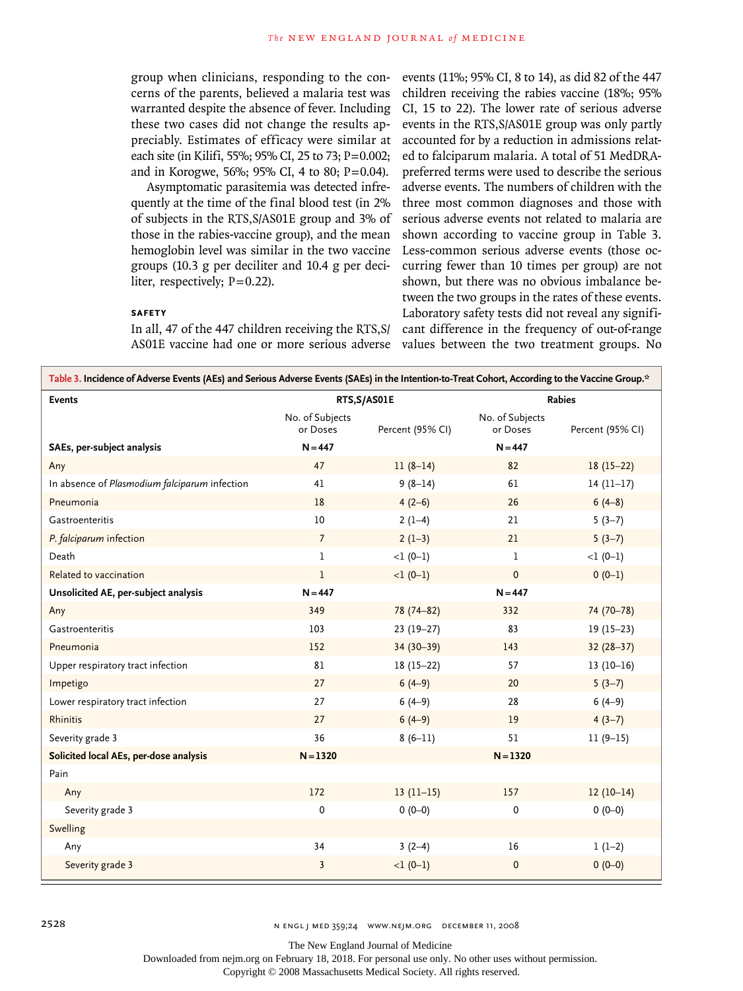group when clinicians, responding to the concerns of the parents, believed a malaria test was warranted despite the absence of fever. Including these two cases did not change the results appreciably. Estimates of efficacy were similar at each site (in Kilifi, 55%; 95% CI, 25 to 73; P=0.002; and in Korogwe, 56%; 95% CI, 4 to 80; P=0.04).

Asymptomatic parasitemia was detected infrequently at the time of the final blood test (in 2% of subjects in the RTS,S/AS01E group and 3% of those in the rabies-vaccine group), and the mean hemoglobin level was similar in the two vaccine groups (10.3 g per deciliter and 10.4 g per deciliter, respectively; P=0.22).

### **Safety**

In all, 47 of the 447 children receiving the RTS,S/

AS01E vaccine had one or more serious adverse values between the two treatment groups. No events (11%; 95% CI, 8 to 14), as did 82 of the 447 children receiving the rabies vaccine (18%; 95% CI, 15 to 22). The lower rate of serious adverse events in the RTS,S/AS01E group was only partly accounted for by a reduction in admissions related to falciparum malaria. A total of 51 MedDRApreferred terms were used to describe the serious adverse events. The numbers of children with the three most common diagnoses and those with serious adverse events not related to malaria are shown according to vaccine group in Table 3. Less-common serious adverse events (those occurring fewer than 10 times per group) are not shown, but there was no obvious imbalance between the two groups in the rates of these events. Laboratory safety tests did not reveal any significant difference in the frequency of out-of-range

| Table 3. Incidence of Adverse Events (AEs) and Serious Adverse Events (SAEs) in the Intention-to-Treat Cohort, According to the Vaccine Group.* |                             |                  |                             |                  |  |
|-------------------------------------------------------------------------------------------------------------------------------------------------|-----------------------------|------------------|-----------------------------|------------------|--|
| <b>Events</b>                                                                                                                                   |                             | RTS, S/AS01E     | <b>Rabies</b>               |                  |  |
|                                                                                                                                                 | No. of Subjects<br>or Doses | Percent (95% CI) | No. of Subjects<br>or Doses | Percent (95% CI) |  |
| SAEs, per-subject analysis                                                                                                                      | $N = 447$                   |                  | $N = 447$                   |                  |  |
| Any                                                                                                                                             | 47                          | $11(8-14)$       | 82                          | $18(15-22)$      |  |
| In absence of Plasmodium falciparum infection                                                                                                   | 41                          | $9(8-14)$        | 61                          | $14(11-17)$      |  |
| Pneumonia                                                                                                                                       | 18                          | $4(2-6)$         | 26                          | $6(4-8)$         |  |
| Gastroenteritis                                                                                                                                 | 10                          | $2(1-4)$         | 21                          | $5(3-7)$         |  |
| P. falciparum infection                                                                                                                         | $\overline{7}$              | $2(1-3)$         | 21                          | $5(3-7)$         |  |
| Death                                                                                                                                           | 1                           | $-1(0-1)$        | $\mathbf{1}$                | $-1(0-1)$        |  |
| Related to vaccination                                                                                                                          | $\mathbf{1}$                | $-1(0-1)$        | $\mathbf 0$                 | $0(0-1)$         |  |
| Unsolicited AE, per-subject analysis                                                                                                            | $N = 447$                   |                  | $N = 447$                   |                  |  |
| Any                                                                                                                                             | 349                         | 78 (74-82)       | 332                         | 74 (70-78)       |  |
| Gastroenteritis                                                                                                                                 | 103                         | $23(19-27)$      | 83                          | $19(15-23)$      |  |
| Pneumonia                                                                                                                                       | 152                         | $34(30-39)$      | 143                         | $32(28-37)$      |  |
| Upper respiratory tract infection                                                                                                               | 81                          | $18(15-22)$      | 57                          | $13(10-16)$      |  |
| Impetigo                                                                                                                                        | 27                          | $6(4-9)$         | 20                          | $5(3-7)$         |  |
| Lower respiratory tract infection                                                                                                               | 27                          | $6(4-9)$         | 28                          | $6(4-9)$         |  |
| Rhinitis                                                                                                                                        | 27                          | $6(4-9)$         | 19                          | $4(3-7)$         |  |
| Severity grade 3                                                                                                                                | 36                          | $8(6-11)$        | 51                          | $11(9-15)$       |  |
| Solicited local AEs, per-dose analysis                                                                                                          | $N = 1320$                  |                  | $N = 1320$                  |                  |  |
| Pain                                                                                                                                            |                             |                  |                             |                  |  |
| Any                                                                                                                                             | 172                         | $13(11-15)$      | 157                         | $12(10-14)$      |  |
| Severity grade 3                                                                                                                                | 0                           | $0(0-0)$         | $\mathbf 0$                 | $0(0-0)$         |  |
| Swelling                                                                                                                                        |                             |                  |                             |                  |  |
| Any                                                                                                                                             | 34                          | $3(2-4)$         | 16                          | $1(1-2)$         |  |
| Severity grade 3                                                                                                                                | 3                           | $-1(0-1)$        | $\mathbf 0$                 | $0(0-0)$         |  |

The New England Journal of Medicine

Downloaded from nejm.org on February 18, 2018. For personal use only. No other uses without permission.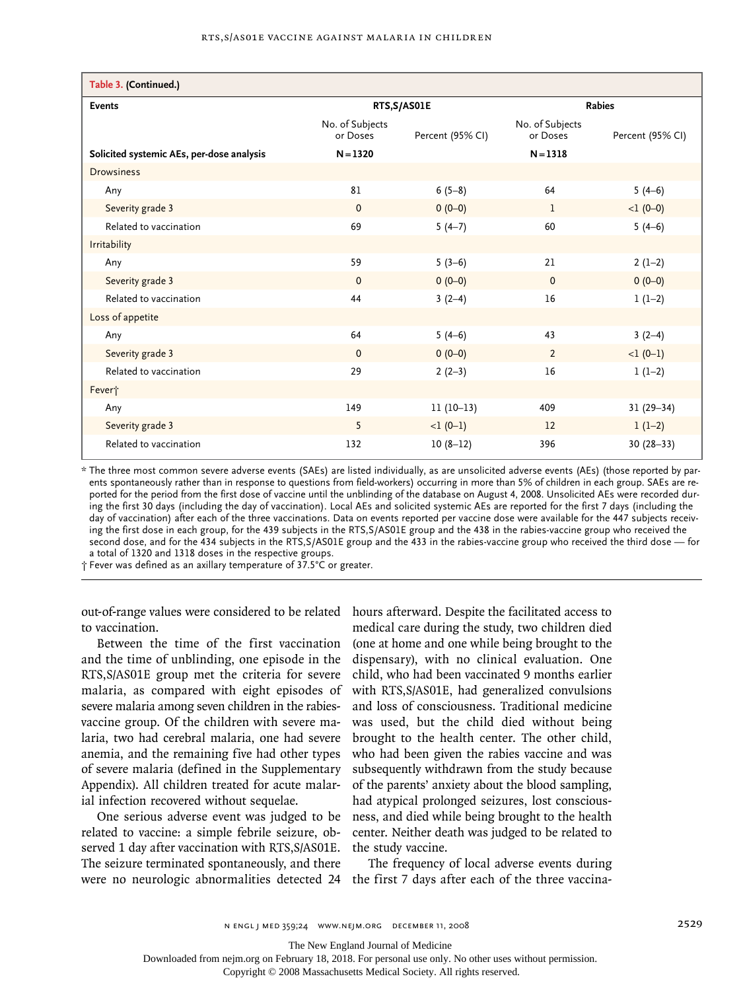| Table 3. (Continued.)                     |                             |                  |                             |                  |
|-------------------------------------------|-----------------------------|------------------|-----------------------------|------------------|
| Events                                    | RTS, S/AS01E                |                  | <b>Rabies</b>               |                  |
|                                           | No. of Subjects<br>or Doses | Percent (95% CI) | No. of Subjects<br>or Doses | Percent (95% CI) |
| Solicited systemic AEs, per-dose analysis | $N = 1320$                  |                  | $N = 1318$                  |                  |
| <b>Drowsiness</b>                         |                             |                  |                             |                  |
| Any                                       | 81                          | $6(5-8)$         | 64                          | $5(4-6)$         |
| Severity grade 3                          | $\mathbf{0}$                | $0(0-0)$         | 1                           | $<1(0-0)$        |
| Related to vaccination                    | 69                          | $5(4-7)$         | 60                          | $5(4-6)$         |
| Irritability                              |                             |                  |                             |                  |
| Any                                       | 59                          | $5(3-6)$         | 21                          | $2(1-2)$         |
| Severity grade 3                          | $\mathbf{0}$                | $0(0-0)$         | $\mathbf{0}$                | $0(0-0)$         |
| Related to vaccination                    | 44                          | $3(2-4)$         | 16                          | $1(1-2)$         |
| Loss of appetite                          |                             |                  |                             |                  |
| Any                                       | 64                          | $5(4-6)$         | 43                          | $3(2-4)$         |
| Severity grade 3                          | $\mathbf{0}$                | $0(0-0)$         | $\overline{2}$              | $-1(0-1)$        |
| Related to vaccination                    | 29                          | $2(2-3)$         | 16                          | $1(1-2)$         |
| Fever <sup>+</sup>                        |                             |                  |                             |                  |
| Any                                       | 149                         | $11(10-13)$      | 409                         | $31(29-34)$      |
| Severity grade 3                          | 5                           | $-1(0-1)$        | 12                          | $1(1-2)$         |
| Related to vaccination                    | 132                         | $10(8-12)$       | 396                         | $30(28-33)$      |

\* The three most common severe adverse events (SAEs) are listed individually, as are unsolicited adverse events (AEs) (those reported by parents spontaneously rather than in response to questions from field-workers) occurring in more than 5% of children in each group. SAEs are reported for the period from the first dose of vaccine until the unblinding of the database on August 4, 2008. Unsolicited AEs were recorded during the first 30 days (including the day of vaccination). Local AEs and solicited systemic AEs are reported for the first 7 days (including the day of vaccination) after each of the three vaccinations. Data on events reported per vaccine dose were available for the 447 subjects receiving the first dose in each group, for the 439 subjects in the RTS,S/AS01E group and the 438 in the rabies-vaccine group who received the second dose, and for the 434 subjects in the RTS,S/AS01E group and the 433 in the rabies-vaccine group who received the third dose — for a total of 1320 and 1318 doses in the respective groups.

† Fever was defined as an axillary temperature of 37.5°C or greater.

out-of-range values were considered to be related to vaccination.

Between the time of the first vaccination and the time of unblinding, one episode in the RTS,S/AS01E group met the criteria for severe malaria, as compared with eight episodes of severe malaria among seven children in the rabiesvaccine group. Of the children with severe malaria, two had cerebral malaria, one had severe anemia, and the remaining five had other types of severe malaria (defined in the Supplementary Appendix). All children treated for acute malarial infection recovered without sequelae.

One serious adverse event was judged to be related to vaccine: a simple febrile seizure, observed 1 day after vaccination with RTS,S/AS01E. The seizure terminated spontaneously, and there hours afterward. Despite the facilitated access to medical care during the study, two children died (one at home and one while being brought to the dispensary), with no clinical evaluation. One child, who had been vaccinated 9 months earlier with RTS,S/AS01E, had generalized convulsions and loss of consciousness. Traditional medicine was used, but the child died without being brought to the health center. The other child, who had been given the rabies vaccine and was subsequently withdrawn from the study because of the parents' anxiety about the blood sampling, had atypical prolonged seizures, lost consciousness, and died while being brought to the health center. Neither death was judged to be related to the study vaccine.

were no neurologic abnormalities detected 24 the first 7 days after each of the three vaccina-The frequency of local adverse events during

The New England Journal of Medicine

Downloaded from nejm.org on February 18, 2018. For personal use only. No other uses without permission.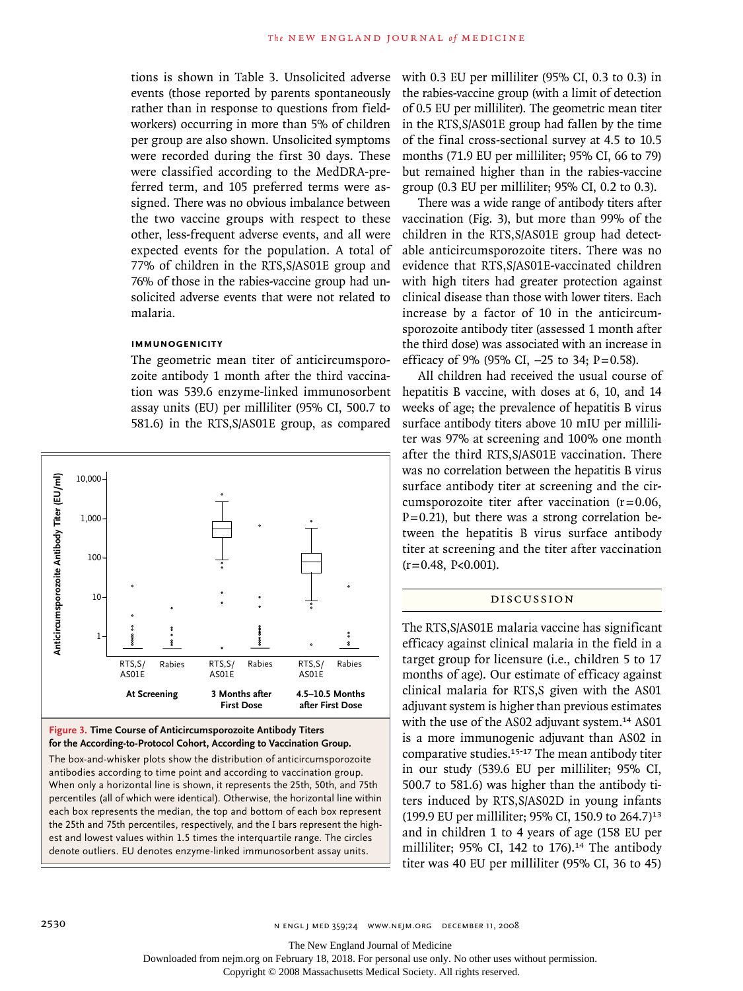tions is shown in Table 3. Unsolicited adverse events (those reported by parents spontaneously rather than in response to questions from fieldworkers) occurring in more than 5% of children per group are also shown. Unsolicited symptoms were recorded during the first 30 days. These were classified according to the MedDRA-preferred term, and 105 preferred terms were assigned. There was no obvious imbalance between the two vaccine groups with respect to these other, less-frequent adverse events, and all were expected events for the population. A total of 77% of children in the RTS,S/AS01E group and 76% of those in the rabies-vaccine group had unsolicited adverse events that were not related to malaria.

#### **Immunogenicity**

The geometric mean titer of anticircumsporozoite antibody 1 month after the third vaccination was 539.6 enzyme-linked immunosorbent assay units (EU) per milliliter (95% CI, 500.7 to 581.6) in the RTS,S/AS01E group, as compared





each box represents the median, the top and bottom of each box represent The box-and-whisker plots show the distribution of anticircumsporozoite and basis according to the point and according to racentation group.<br>When only a horizontal line is shown, it represents the 25th, 50th, and 75th Here they are the most continue to the major term of the start of the start of the start of the percentiles (all of which were identical). Otherwise, the horizontal line within the 25th and 75th percentiles, respectively, and the I bars represent the highest and lowest values within 1.5 times the interquartile range. The circles denote outliers. EU denotes enzyme-linked immunosorbent assay units. antibodies according to time point and according to vaccination group.

with 0.3 EU per milliliter (95% CI, 0.3 to 0.3) in the rabies-vaccine group (with a limit of detection of 0.5 EU per milliliter). The geometric mean titer in the RTS,S/AS01E group had fallen by the time of the final cross-sectional survey at 4.5 to 10.5 months (71.9 EU per milliliter; 95% CI, 66 to 79) but remained higher than in the rabies-vaccine group (0.3 EU per milliliter; 95% CI, 0.2 to 0.3).

There was a wide range of antibody titers after vaccination (Fig. 3), but more than 99% of the children in the RTS,S/AS01E group had detectable anticircumsporozoite titers. There was no evidence that RTS,S/AS01E-vaccinated children with high titers had greater protection against clinical disease than those with lower titers. Each increase by a factor of 10 in the anticircumsporozoite antibody titer (assessed 1 month after the third dose) was associated with an increase in efficacy of 9% (95% CI, −25 to 34; P=0.58).

All children had received the usual course of hepatitis B vaccine, with doses at 6, 10, and 14 weeks of age; the prevalence of hepatitis B virus surface antibody titers above 10 mIU per milliliter was 97% at screening and 100% one month after the third RTS,S/AS01E vaccination. There was no correlation between the hepatitis B virus surface antibody titer at screening and the circumsporozoite titer after vaccination  $(r=0.06,$  $P=0.21$ ), but there was a strong correlation between the hepatitis B virus surface antibody titer at screening and the titer after vaccination  $(r=0.48, P<0.001).$ 

# Discussion

The RTS,S/AS01E malaria vaccine has significant efficacy against clinical malaria in the field in a target group for licensure (i.e., children 5 to 17 months of age). Our estimate of efficacy against clinical malaria for RTS,S given with the AS01 adjuvant system is higher than previous estimates with the use of the AS02 adjuvant system.<sup>14</sup> AS01 is a more immunogenic adjuvant than AS02 in comparative studies.<sup>15-17</sup> The mean antibody titer in our study (539.6 EU per milliliter; 95% CI, 500.7 to 581.6) was higher than the antibody titers induced by RTS,S/AS02D in young infants (199.9 EU per milliliter; 95% CI, 150.9 to 264.7)<sup>13</sup> and in children 1 to 4 years of age (158 EU per milliliter; 95% CI, 142 to  $176$ .<sup>14</sup> The antibody titer was 40 EU per milliliter (95% CI, 36 to 45)

The New England Journal of Medicine

Downloaded from nejm.org on February 18, 2018. For personal use only. No other uses without permission.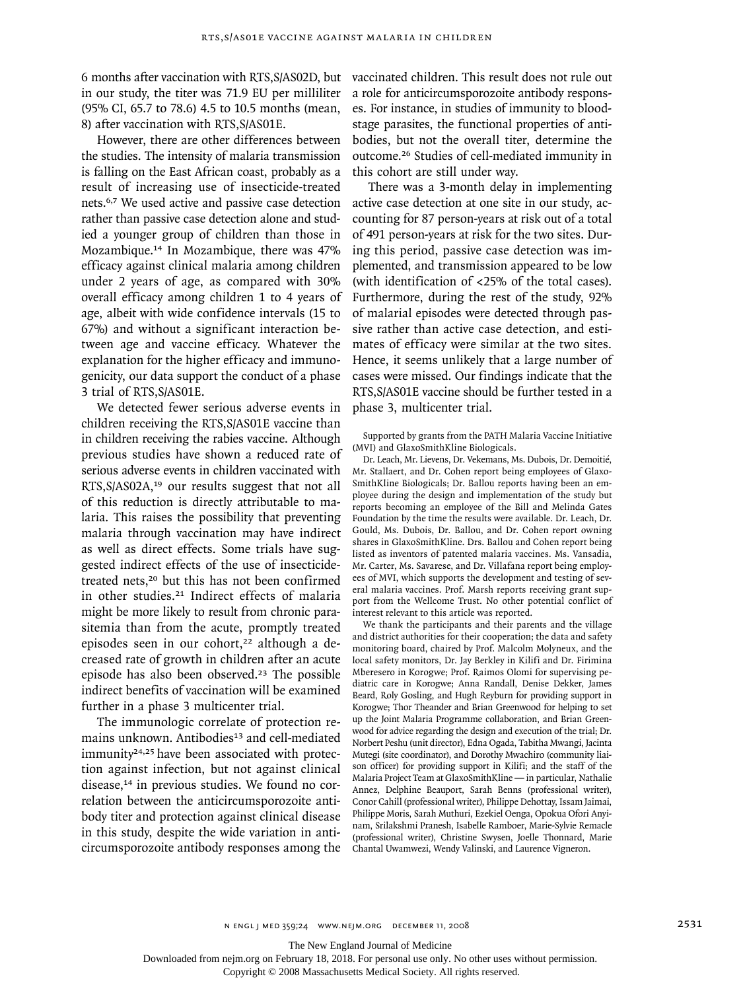in our study, the titer was 71.9 EU per milliliter (95% CI, 65.7 to 78.6) 4.5 to 10.5 months (mean, 8) after vaccination with RTS,S/AS01E.

However, there are other differences between the studies. The intensity of malaria transmission is falling on the East African coast, probably as a result of increasing use of insecticide-treated nets.6,7 We used active and passive case detection rather than passive case detection alone and studied a younger group of children than those in Mozambique.14 In Mozambique, there was 47% efficacy against clinical malaria among children under 2 years of age, as compared with 30% overall efficacy among children 1 to 4 years of age, albeit with wide confidence intervals (15 to 67%) and without a significant interaction between age and vaccine efficacy. Whatever the explanation for the higher efficacy and immunogenicity, our data support the conduct of a phase 3 trial of RTS,S/AS01E.

We detected fewer serious adverse events in children receiving the RTS,S/AS01E vaccine than in children receiving the rabies vaccine. Although previous studies have shown a reduced rate of serious adverse events in children vaccinated with RTS, S/AS02A,<sup>19</sup> our results suggest that not all of this reduction is directly attributable to malaria. This raises the possibility that preventing malaria through vaccination may have indirect as well as direct effects. Some trials have suggested indirect effects of the use of insecticidetreated nets,<sup>20</sup> but this has not been confirmed in other studies.<sup>21</sup> Indirect effects of malaria might be more likely to result from chronic parasitemia than from the acute, promptly treated episodes seen in our cohort,<sup>22</sup> although a decreased rate of growth in children after an acute episode has also been observed.<sup>23</sup> The possible indirect benefits of vaccination will be examined further in a phase 3 multicenter trial.

The immunologic correlate of protection remains unknown. Antibodies<sup>13</sup> and cell-mediated immunity24,25 have been associated with protection against infection, but not against clinical disease,14 in previous studies. We found no correlation between the anticircumsporozoite antibody titer and protection against clinical disease in this study, despite the wide variation in anticircumsporozoite antibody responses among the

6 months after vaccination with RTS,S/AS02D, but vaccinated children. This result does not rule out a role for anticircumsporozoite antibody responses. For instance, in studies of immunity to bloodstage parasites, the functional properties of antibodies, but not the overall titer, determine the outcome.26 Studies of cell-mediated immunity in this cohort are still under way.

> There was a 3-month delay in implementing active case detection at one site in our study, accounting for 87 person-years at risk out of a total of 491 person-years at risk for the two sites. During this period, passive case detection was implemented, and transmission appeared to be low (with identification of <25% of the total cases). Furthermore, during the rest of the study, 92% of malarial episodes were detected through passive rather than active case detection, and estimates of efficacy were similar at the two sites. Hence, it seems unlikely that a large number of cases were missed. Our findings indicate that the RTS,S/AS01E vaccine should be further tested in a phase 3, multicenter trial.

> Supported by grants from the PATH Malaria Vaccine Initiative (MVI) and GlaxoSmithKline Biologicals.

> Dr. Leach, Mr. Lievens, Dr. Vekemans, Ms. Dubois, Dr. Demoitié, Mr. Stallaert, and Dr. Cohen report being employees of Glaxo-SmithKline Biologicals; Dr. Ballou reports having been an employee during the design and implementation of the study but reports becoming an employee of the Bill and Melinda Gates Foundation by the time the results were available. Dr. Leach, Dr. Gould, Ms. Dubois, Dr. Ballou, and Dr. Cohen report owning shares in GlaxoSmithKline. Drs. Ballou and Cohen report being listed as inventors of patented malaria vaccines. Ms. Vansadia, Mr. Carter, Ms. Savarese, and Dr. Villafana report being employees of MVI, which supports the development and testing of several malaria vaccines. Prof. Marsh reports receiving grant support from the Wellcome Trust. No other potential conflict of interest relevant to this article was reported.

> We thank the participants and their parents and the village and district authorities for their cooperation; the data and safety monitoring board, chaired by Prof. Malcolm Molyneux, and the local safety monitors, Dr. Jay Berkley in Kilifi and Dr. Firimina Mberesero in Korogwe; Prof. Raimos Olomi for supervising pediatric care in Korogwe; Anna Randall, Denise Dekker, James Beard, Roly Gosling, and Hugh Reyburn for providing support in Korogwe; Thor Theander and Brian Greenwood for helping to set up the Joint Malaria Programme collaboration, and Brian Greenwood for advice regarding the design and execution of the trial; Dr. Norbert Peshu (unit director), Edna Ogada, Tabitha Mwangi, Jacinta Mutegi (site coordinator), and Dorothy Mwachiro (community liaison officer) for providing support in Kilifi; and the staff of the Malaria Project Team at GlaxoSmithKline — in particular, Nathalie Annez, Delphine Beauport, Sarah Benns (professional writer), Conor Cahill (professional writer), Philippe Dehottay, Issam Jaimai, Philippe Moris, Sarah Muthuri, Ezekiel Oenga, Opokua Ofori Anyinam, Srilakshmi Pranesh, Isabelle Ramboer, Marie-Sylvie Remacle (professional writer), Christine Swysen, Joelle Thonnard, Marie Chantal Uwamwezi, Wendy Valinski, and Laurence Vigneron.

The New England Journal of Medicine

Downloaded from nejm.org on February 18, 2018. For personal use only. No other uses without permission.